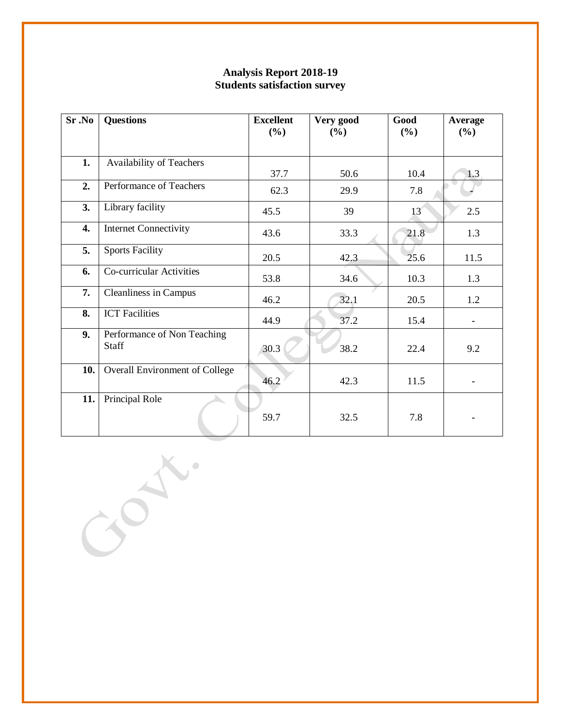| Sr.No | <b>Questions</b>                            | <b>Excellent</b><br>(%) | Very good<br>$(\%)$ | Good<br>$(\%)$ | Average<br>(%)           |
|-------|---------------------------------------------|-------------------------|---------------------|----------------|--------------------------|
| 1.    | Availability of Teachers                    |                         |                     |                |                          |
| 2.    | Performance of Teachers                     | 37.7<br>62.3            | 50.6<br>29.9        | 10.4<br>7.8    | 1.3                      |
| 3.    | Library facility                            | 45.5                    | 39                  | 13             | 2.5                      |
| 4.    | <b>Internet Connectivity</b>                | 43.6                    | 33.3                | 21.8           | 1.3                      |
| 5.    | <b>Sports Facility</b>                      | 20.5                    | 42.3                | 25.6           | 11.5                     |
| 6.    | Co-curricular Activities                    | 53.8                    | 34.6                | 10.3           | 1.3                      |
| 7.    | <b>Cleanliness in Campus</b>                | 46.2                    | 32.1                | 20.5           | 1.2                      |
| 8.    | <b>ICT</b> Facilities                       | 44.9                    | 37.2                | 15.4           | $\overline{\phantom{a}}$ |
| 9.    | Performance of Non Teaching<br><b>Staff</b> | 30.3                    | 38.2                | 22.4           | 9.2                      |
| 10.   | <b>Overall Environment of College</b>       | 46.2                    | 42.3                | 11.5           |                          |
| 11.   | Principal Role                              | 59.7                    | 32.5                | 7.8            |                          |

 $\overrightarrow{O}$ 

 $\overline{1}$ 

## **Analysis Report 2018-19 Students satisfaction survey**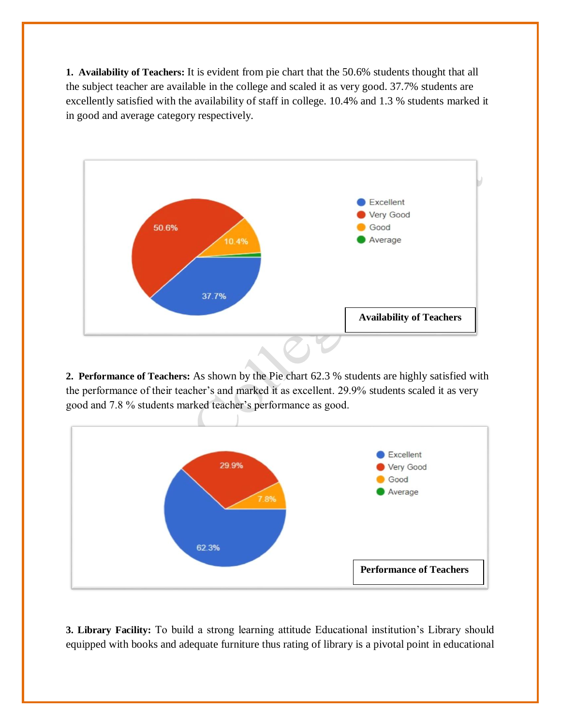**1. Availability of Teachers:** It is evident from pie chart that the 50.6% students thought that all the subject teacher are available in the college and scaled it as very good. 37.7% students are excellently satisfied with the availability of staff in college. 10.4% and 1.3 % students marked it in good and average category respectively.



**2. Performance of Teachers:** As shown by the Pie chart 62.3 % students are highly satisfied with the performance of their teacher's and marked it as excellent. 29.9% students scaled it as very good and 7.8 % students marked teacher's performance as good.



**3. Library Facility:** To build a strong learning attitude Educational institution's Library should equipped with books and adequate furniture thus rating of library is a pivotal point in educational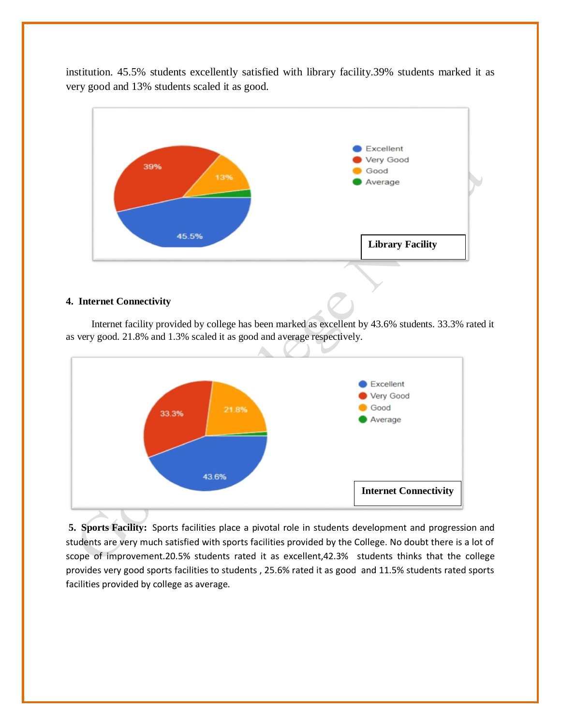institution. 45.5% students excellently satisfied with library facility.39% students marked it as very good and 13% students scaled it as good.



## **4. Internet Connectivity**

 Internet facility provided by college has been marked as excellent by 43.6% students. 33.3% rated it as very good. 21.8% and 1.3% scaled it as good and average respectively.



**5. Sports Facility:** Sports facilities place a pivotal role in students development and progression and students are very much satisfied with sports facilities provided by the College. No doubt there is a lot of scope of improvement.20.5% students rated it as excellent,42.3% students thinks that the college provides very good sports facilities to students , 25.6% rated it as good and 11.5% students rated sports facilities provided by college as average.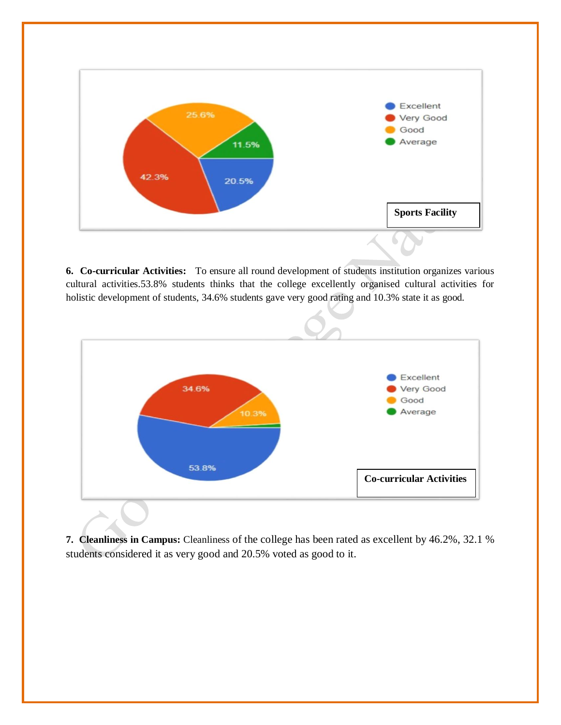

**6. Co-curricular Activities:** To ensure all round development of students institution organizes various cultural activities.53.8% students thinks that the college excellently organised cultural activities for holistic development of students, 34.6% students gave very good rating and 10.3% state it as good.



**7. Cleanliness in Campus:** Cleanliness of the college has been rated as excellent by 46.2%, 32.1 % students considered it as very good and 20.5% voted as good to it.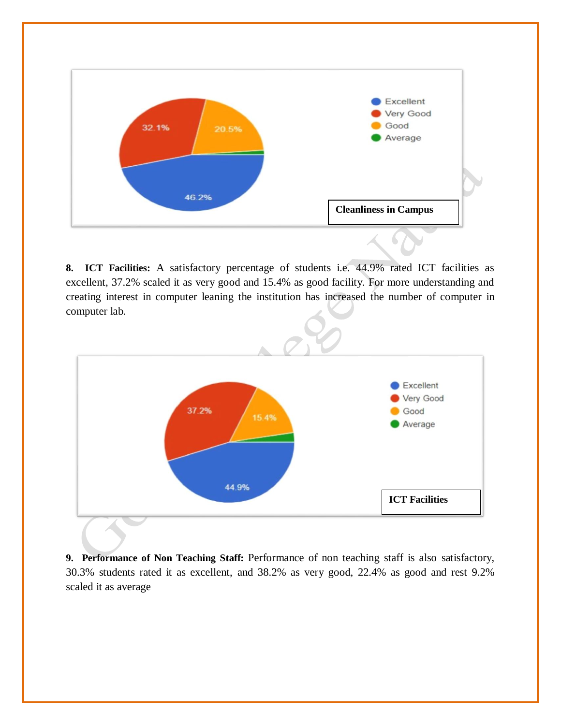

**8. ICT Facilities:** A satisfactory percentage of students i.e. 44.9% rated ICT facilities as excellent, 37.2% scaled it as very good and 15.4% as good facility. For more understanding and creating interest in computer leaning the institution has increased the number of computer in computer lab.



**9. Performance of Non Teaching Staff:** Performance of non teaching staff is also satisfactory, 30.3% students rated it as excellent, and 38.2% as very good, 22.4% as good and rest 9.2% scaled it as average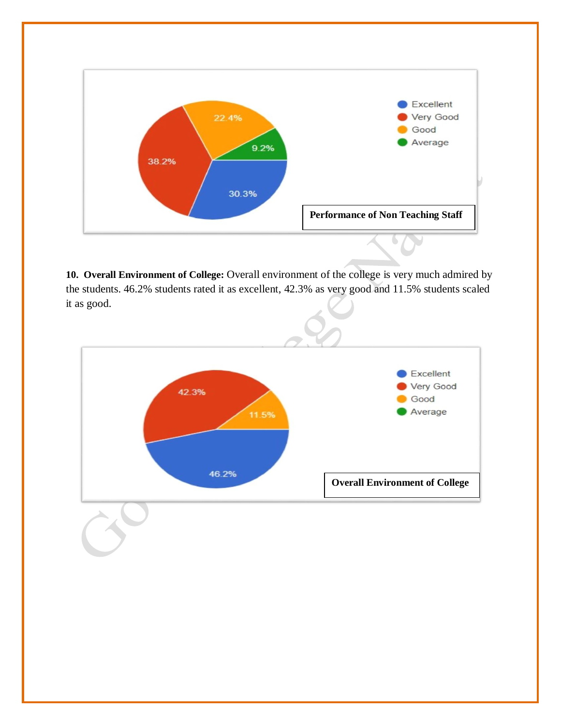

10. Overall Environment of College: Overall environment of the college is very much admired by the students. 46.2% students rated it as excellent, 42.3% as very good and 11.5% students scaled it as good.